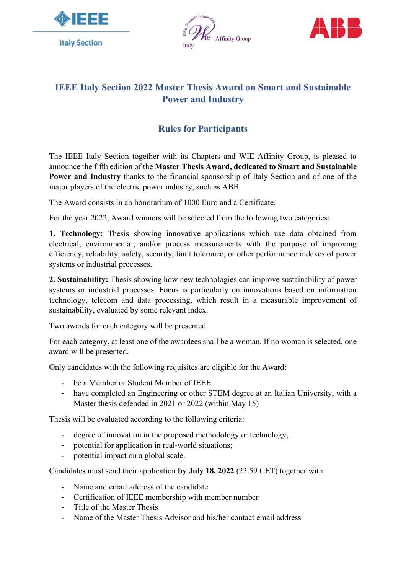





## **IEEE Italy Section 2022 Master Thesis Award on Smart and Sustainable Power and Industry**

## **Rules for Participants**

The IEEE Italy Section together with its Chapters and WIE Affinity Group, is pleased to announce the fifth edition of the **Master Thesis Award, dedicated to Smart and Sustainable Power and Industry** thanks to the financial sponsorship of Italy Section and of one of the major players of the electric power industry, such as ABB.

The Award consists in an honorarium of 1000 Euro and a Certificate.

For the year 2022, Award winners will be selected from the following two categories:

**1. Technology:** Thesis showing innovative applications which use data obtained from electrical, environmental, and/or process measurements with the purpose of improving efficiency, reliability, safety, security, fault tolerance, or other performance indexes of power systems or industrial processes.

**2. Sustainability:** Thesis showing how new technologies can improve sustainability of power systems or industrial processes. Focus is particularly on innovations based on information technology, telecom and data processing, which result in a measurable improvement of sustainability, evaluated by some relevant index.

Two awards for each category will be presented.

For each category, at least one of the awardees shall be a woman. If no woman is selected, one award will be presented.

Only candidates with the following requisites are eligible for the Award:

- be a Member or Student Member of IEEE
- have completed an Engineering or other STEM degree at an Italian University, with a Master thesis defended in 2021 or 2022 (within May 15)

Thesis will be evaluated according to the following criteria:

- degree of innovation in the proposed methodology or technology;
- potential for application in real-world situations;
- potential impact on a global scale.

Candidates must send their application **by July 18, 2022** (23.59 CET) together with:

- Name and email address of the candidate
- Certification of IEEE membership with member number
- Title of the Master Thesis
- Name of the Master Thesis Advisor and his/her contact email address